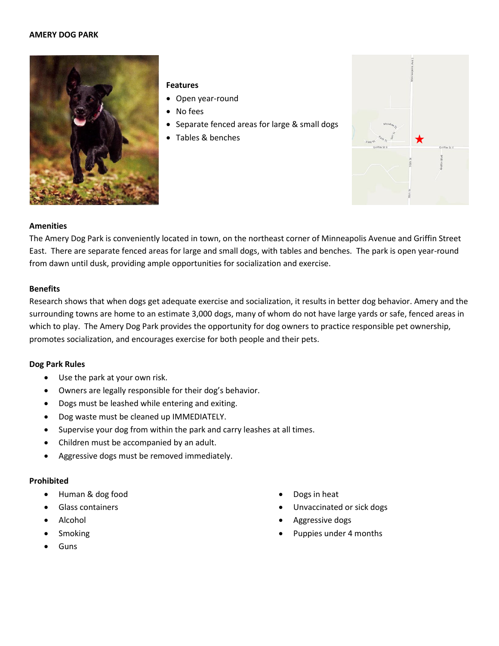### **AMERY DOG PARK**



## **Features**

- Open year-round
- No fees
- Separate fenced areas for large & small dogs
- Tables & benches



### **Amenities**

The Amery Dog Park is conveniently located in town, on the northeast corner of Minneapolis Avenue and Griffin Street East. There are separate fenced areas for large and small dogs, with tables and benches. The park is open year-round from dawn until dusk, providing ample opportunities for socialization and exercise.

### **Benefits**

Research shows that when dogs get adequate exercise and socialization, it results in better dog behavior. Amery and the surrounding towns are home to an estimate 3,000 dogs, many of whom do not have large yards or safe, fenced areas in which to play. The Amery Dog Park provides the opportunity for dog owners to practice responsible pet ownership, promotes socialization, and encourages exercise for both people and their pets.

## **Dog Park Rules**

- Use the park at your own risk.
- Owners are legally responsible for their dog's behavior.
- Dogs must be leashed while entering and exiting.
- Dog waste must be cleaned up IMMEDIATELY.
- Supervise your dog from within the park and carry leashes at all times.
- Children must be accompanied by an adult.
- Aggressive dogs must be removed immediately.

## **Prohibited**

- Human & dog food
- Glass containers
- Alcohol
- Smoking
- Guns
- Dogs in heat
- Unvaccinated or sick dogs
- Aggressive dogs
- Puppies under 4 months